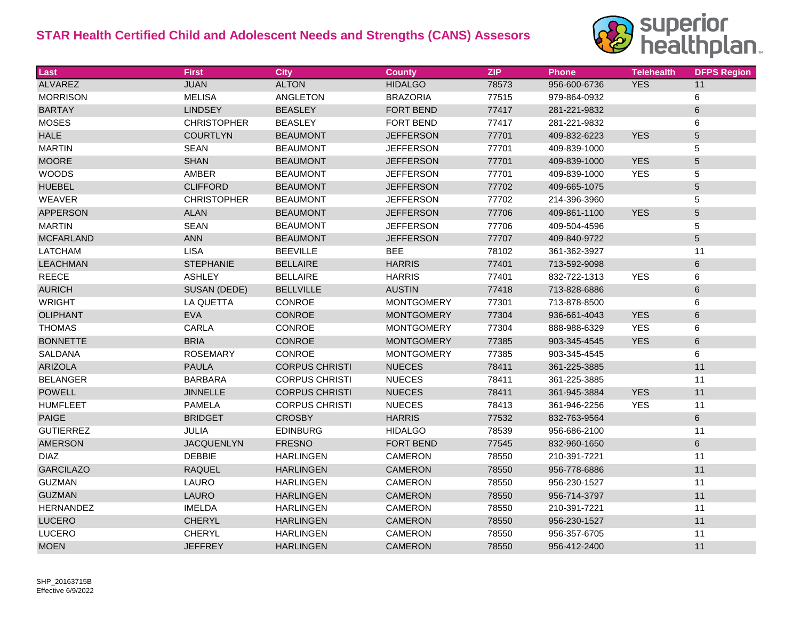

| Last             | <b>First</b>       | <b>City</b>           | <b>County</b>     | <b>ZIP</b> | <b>Phone</b> | <b>Telehealth</b> | <b>DFPS Region</b> |
|------------------|--------------------|-----------------------|-------------------|------------|--------------|-------------------|--------------------|
| <b>ALVAREZ</b>   | <b>JUAN</b>        | <b>ALTON</b>          | <b>HIDALGO</b>    | 78573      | 956-600-6736 | <b>YES</b>        | 11                 |
| <b>MORRISON</b>  | <b>MELISA</b>      | <b>ANGLETON</b>       | <b>BRAZORIA</b>   | 77515      | 979-864-0932 |                   | 6                  |
| <b>BARTAY</b>    | <b>LINDSEY</b>     | <b>BEASLEY</b>        | <b>FORT BEND</b>  | 77417      | 281-221-9832 |                   | $\,6\,$            |
| <b>MOSES</b>     | <b>CHRISTOPHER</b> | <b>BEASLEY</b>        | <b>FORT BEND</b>  | 77417      | 281-221-9832 |                   | 6                  |
| <b>HALE</b>      | <b>COURTLYN</b>    | <b>BEAUMONT</b>       | <b>JEFFERSON</b>  | 77701      | 409-832-6223 | <b>YES</b>        | $\sqrt{5}$         |
| <b>MARTIN</b>    | <b>SEAN</b>        | <b>BEAUMONT</b>       | <b>JEFFERSON</b>  | 77701      | 409-839-1000 |                   | 5                  |
| <b>MOORE</b>     | <b>SHAN</b>        | <b>BEAUMONT</b>       | <b>JEFFERSON</b>  | 77701      | 409-839-1000 | <b>YES</b>        | $\sqrt{5}$         |
| <b>WOODS</b>     | AMBER              | <b>BEAUMONT</b>       | <b>JEFFERSON</b>  | 77701      | 409-839-1000 | <b>YES</b>        | 5                  |
| <b>HUEBEL</b>    | <b>CLIFFORD</b>    | <b>BEAUMONT</b>       | <b>JEFFERSON</b>  | 77702      | 409-665-1075 |                   | $\mathbf 5$        |
| <b>WEAVER</b>    | <b>CHRISTOPHER</b> | <b>BEAUMONT</b>       | <b>JEFFERSON</b>  | 77702      | 214-396-3960 |                   | 5                  |
| <b>APPERSON</b>  | <b>ALAN</b>        | <b>BEAUMONT</b>       | <b>JEFFERSON</b>  | 77706      | 409-861-1100 | <b>YES</b>        | $\sqrt{5}$         |
| <b>MARTIN</b>    | <b>SEAN</b>        | <b>BEAUMONT</b>       | <b>JEFFERSON</b>  | 77706      | 409-504-4596 |                   | $\mathbf 5$        |
| <b>MCFARLAND</b> | <b>ANN</b>         | <b>BEAUMONT</b>       | <b>JEFFERSON</b>  | 77707      | 409-840-9722 |                   | $\sqrt{5}$         |
| <b>LATCHAM</b>   | <b>LISA</b>        | <b>BEEVILLE</b>       | <b>BEE</b>        | 78102      | 361-362-3927 |                   | 11                 |
| <b>LEACHMAN</b>  | <b>STEPHANIE</b>   | <b>BELLAIRE</b>       | <b>HARRIS</b>     | 77401      | 713-592-9098 |                   | $\,6\,$            |
| <b>REECE</b>     | <b>ASHLEY</b>      | <b>BELLAIRE</b>       | <b>HARRIS</b>     | 77401      | 832-722-1313 | <b>YES</b>        | 6                  |
| <b>AURICH</b>    | SUSAN (DEDE)       | <b>BELLVILLE</b>      | <b>AUSTIN</b>     | 77418      | 713-828-6886 |                   | $\,6\,$            |
| <b>WRIGHT</b>    | LA QUETTA          | CONROE                | <b>MONTGOMERY</b> | 77301      | 713-878-8500 |                   | 6                  |
| <b>OLIPHANT</b>  | <b>EVA</b>         | CONROE                | <b>MONTGOMERY</b> | 77304      | 936-661-4043 | <b>YES</b>        | 6                  |
| <b>THOMAS</b>    | CARLA              | CONROE                | <b>MONTGOMERY</b> | 77304      | 888-988-6329 | <b>YES</b>        | 6                  |
| <b>BONNETTE</b>  | <b>BRIA</b>        | CONROE                | <b>MONTGOMERY</b> | 77385      | 903-345-4545 | <b>YES</b>        | 6                  |
| <b>SALDANA</b>   | <b>ROSEMARY</b>    | CONROE                | <b>MONTGOMERY</b> | 77385      | 903-345-4545 |                   | $\,6\,$            |
| <b>ARIZOLA</b>   | <b>PAULA</b>       | <b>CORPUS CHRISTI</b> | <b>NUECES</b>     | 78411      | 361-225-3885 |                   | 11                 |
| <b>BELANGER</b>  | <b>BARBARA</b>     | <b>CORPUS CHRISTI</b> | <b>NUECES</b>     | 78411      | 361-225-3885 |                   | 11                 |
| <b>POWELL</b>    | <b>JINNELLE</b>    | <b>CORPUS CHRISTI</b> | <b>NUECES</b>     | 78411      | 361-945-3884 | <b>YES</b>        | 11                 |
| <b>HUMFLEET</b>  | <b>PAMELA</b>      | <b>CORPUS CHRISTI</b> | <b>NUECES</b>     | 78413      | 361-946-2256 | <b>YES</b>        | 11                 |
| <b>PAIGE</b>     | <b>BRIDGET</b>     | <b>CROSBY</b>         | <b>HARRIS</b>     | 77532      | 832-763-9564 |                   | $\,6\,$            |
| <b>GUTIERREZ</b> | JULIA              | <b>EDINBURG</b>       | <b>HIDALGO</b>    | 78539      | 956-686-2100 |                   | 11                 |
| <b>AMERSON</b>   | <b>JACQUENLYN</b>  | <b>FRESNO</b>         | FORT BEND         | 77545      | 832-960-1650 |                   | $\,6\,$            |
| <b>DIAZ</b>      | <b>DEBBIE</b>      | <b>HARLINGEN</b>      | <b>CAMERON</b>    | 78550      | 210-391-7221 |                   | 11                 |
| <b>GARCILAZO</b> | <b>RAQUEL</b>      | <b>HARLINGEN</b>      | <b>CAMERON</b>    | 78550      | 956-778-6886 |                   | 11                 |
| <b>GUZMAN</b>    | LAURO              | <b>HARLINGEN</b>      | <b>CAMERON</b>    | 78550      | 956-230-1527 |                   | 11                 |
| <b>GUZMAN</b>    | <b>LAURO</b>       | <b>HARLINGEN</b>      | <b>CAMERON</b>    | 78550      | 956-714-3797 |                   | 11                 |
| <b>HERNANDEZ</b> | <b>IMELDA</b>      | <b>HARLINGEN</b>      | <b>CAMERON</b>    | 78550      | 210-391-7221 |                   | 11                 |
| <b>LUCERO</b>    | <b>CHERYL</b>      | <b>HARLINGEN</b>      | <b>CAMERON</b>    | 78550      | 956-230-1527 |                   | 11                 |
| LUCERO           | <b>CHERYL</b>      | <b>HARLINGEN</b>      | <b>CAMERON</b>    | 78550      | 956-357-6705 |                   | 11                 |
| <b>MOEN</b>      | <b>JEFFREY</b>     | <b>HARLINGEN</b>      | <b>CAMERON</b>    | 78550      | 956-412-2400 |                   | 11                 |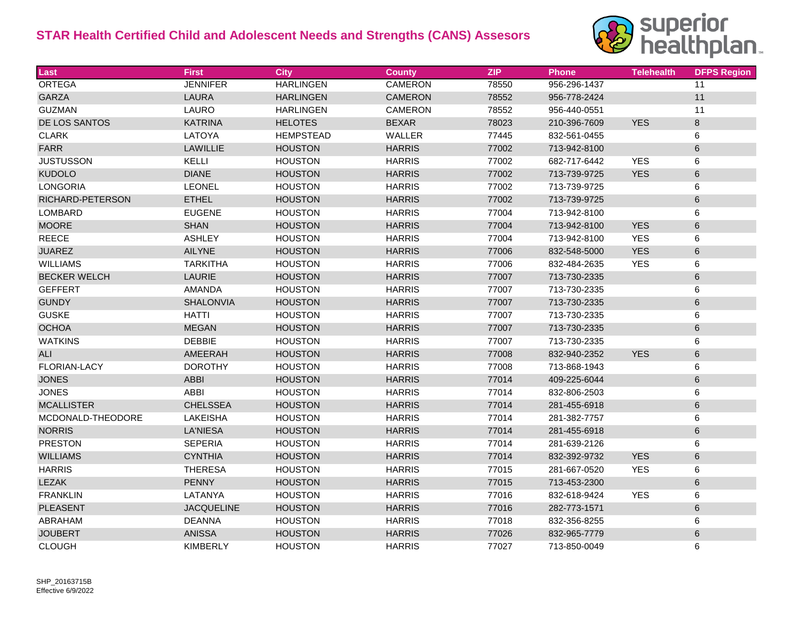

| Last                | <b>First</b>      | <b>City</b>      | <b>County</b>  | <b>ZIP</b> | <b>Phone</b> | <b>Telehealth</b> | <b>DFPS Region</b> |
|---------------------|-------------------|------------------|----------------|------------|--------------|-------------------|--------------------|
| <b>ORTEGA</b>       | <b>JENNIFER</b>   | <b>HARLINGEN</b> | <b>CAMERON</b> | 78550      | 956-296-1437 |                   | 11                 |
| <b>GARZA</b>        | LAURA             | <b>HARLINGEN</b> | <b>CAMERON</b> | 78552      | 956-778-2424 |                   | $11$               |
| <b>GUZMAN</b>       | LAURO             | <b>HARLINGEN</b> | <b>CAMERON</b> | 78552      | 956-440-0551 |                   | 11                 |
| DE LOS SANTOS       | <b>KATRINA</b>    | <b>HELOTES</b>   | <b>BEXAR</b>   | 78023      | 210-396-7609 | <b>YES</b>        | $\,8\,$            |
| <b>CLARK</b>        | LATOYA            | <b>HEMPSTEAD</b> | WALLER         | 77445      | 832-561-0455 |                   | 6                  |
| <b>FARR</b>         | <b>LAWILLIE</b>   | <b>HOUSTON</b>   | <b>HARRIS</b>  | 77002      | 713-942-8100 |                   | $6\phantom{1}6$    |
| <b>JUSTUSSON</b>    | KELLI             | <b>HOUSTON</b>   | <b>HARRIS</b>  | 77002      | 682-717-6442 | <b>YES</b>        | $\,6\,$            |
| <b>KUDOLO</b>       | <b>DIANE</b>      | <b>HOUSTON</b>   | <b>HARRIS</b>  | 77002      | 713-739-9725 | <b>YES</b>        | $\,6\,$            |
| <b>LONGORIA</b>     | <b>LEONEL</b>     | <b>HOUSTON</b>   | <b>HARRIS</b>  | 77002      | 713-739-9725 |                   | 6                  |
| RICHARD-PETERSON    | <b>ETHEL</b>      | <b>HOUSTON</b>   | <b>HARRIS</b>  | 77002      | 713-739-9725 |                   | 6                  |
| LOMBARD             | <b>EUGENE</b>     | <b>HOUSTON</b>   | <b>HARRIS</b>  | 77004      | 713-942-8100 |                   | $\,6\,$            |
| <b>MOORE</b>        | <b>SHAN</b>       | <b>HOUSTON</b>   | <b>HARRIS</b>  | 77004      | 713-942-8100 | <b>YES</b>        | 6                  |
| <b>REECE</b>        | <b>ASHLEY</b>     | <b>HOUSTON</b>   | <b>HARRIS</b>  | 77004      | 713-942-8100 | <b>YES</b>        | 6                  |
| <b>JUAREZ</b>       | AILYNE            | <b>HOUSTON</b>   | <b>HARRIS</b>  | 77006      | 832-548-5000 | <b>YES</b>        | $\,6\,$            |
| <b>WILLIAMS</b>     | <b>TARKITHA</b>   | <b>HOUSTON</b>   | <b>HARRIS</b>  | 77006      | 832-484-2635 | <b>YES</b>        | 6                  |
| <b>BECKER WELCH</b> | LAURIE            | <b>HOUSTON</b>   | <b>HARRIS</b>  | 77007      | 713-730-2335 |                   | 6                  |
| <b>GEFFERT</b>      | <b>AMANDA</b>     | <b>HOUSTON</b>   | <b>HARRIS</b>  | 77007      | 713-730-2335 |                   | 6                  |
| <b>GUNDY</b>        | SHALONVIA         | <b>HOUSTON</b>   | <b>HARRIS</b>  | 77007      | 713-730-2335 |                   | $\,6\,$            |
| <b>GUSKE</b>        | <b>HATTI</b>      | <b>HOUSTON</b>   | <b>HARRIS</b>  | 77007      | 713-730-2335 |                   | 6                  |
| <b>OCHOA</b>        | <b>MEGAN</b>      | <b>HOUSTON</b>   | <b>HARRIS</b>  | 77007      | 713-730-2335 |                   | $6\phantom{1}$     |
| <b>WATKINS</b>      | <b>DEBBIE</b>     | <b>HOUSTON</b>   | <b>HARRIS</b>  | 77007      | 713-730-2335 |                   | $\,6\,$            |
| <b>ALI</b>          | AMEERAH           | <b>HOUSTON</b>   | <b>HARRIS</b>  | 77008      | 832-940-2352 | <b>YES</b>        | $\,6\,$            |
| FLORIAN-LACY        | <b>DOROTHY</b>    | <b>HOUSTON</b>   | <b>HARRIS</b>  | 77008      | 713-868-1943 |                   | 6                  |
| <b>JONES</b>        | <b>ABBI</b>       | <b>HOUSTON</b>   | <b>HARRIS</b>  | 77014      | 409-225-6044 |                   | $6\phantom{1}$     |
| <b>JONES</b>        | <b>ABBI</b>       | <b>HOUSTON</b>   | <b>HARRIS</b>  | 77014      | 832-806-2503 |                   | $\,6\,$            |
| <b>MCALLISTER</b>   | <b>CHELSSEA</b>   | <b>HOUSTON</b>   | <b>HARRIS</b>  | 77014      | 281-455-6918 |                   | $6\phantom{1}6$    |
| MCDONALD-THEODORE   | <b>LAKEISHA</b>   | <b>HOUSTON</b>   | <b>HARRIS</b>  | 77014      | 281-382-7757 |                   | 6                  |
| <b>NORRIS</b>       | <b>LA'NIESA</b>   | <b>HOUSTON</b>   | <b>HARRIS</b>  | 77014      | 281-455-6918 |                   | $\,6\,$            |
| <b>PRESTON</b>      | <b>SEPERIA</b>    | <b>HOUSTON</b>   | <b>HARRIS</b>  | 77014      | 281-639-2126 |                   | 6                  |
| <b>WILLIAMS</b>     | <b>CYNTHIA</b>    | <b>HOUSTON</b>   | <b>HARRIS</b>  | 77014      | 832-392-9732 | <b>YES</b>        | 6                  |
| <b>HARRIS</b>       | <b>THERESA</b>    | <b>HOUSTON</b>   | <b>HARRIS</b>  | 77015      | 281-667-0520 | <b>YES</b>        | 6                  |
| <b>LEZAK</b>        | <b>PENNY</b>      | <b>HOUSTON</b>   | <b>HARRIS</b>  | 77015      | 713-453-2300 |                   | 6                  |
| <b>FRANKLIN</b>     | LATANYA           | <b>HOUSTON</b>   | <b>HARRIS</b>  | 77016      | 832-618-9424 | <b>YES</b>        | 6                  |
| <b>PLEASENT</b>     | <b>JACQUELINE</b> | <b>HOUSTON</b>   | <b>HARRIS</b>  | 77016      | 282-773-1571 |                   | 6                  |
| ABRAHAM             | <b>DEANNA</b>     | <b>HOUSTON</b>   | <b>HARRIS</b>  | 77018      | 832-356-8255 |                   | $\,6\,$            |
| <b>JOUBERT</b>      | <b>ANISSA</b>     | <b>HOUSTON</b>   | <b>HARRIS</b>  | 77026      | 832-965-7779 |                   | $6\phantom{1}6$    |
| <b>CLOUGH</b>       | <b>KIMBERLY</b>   | <b>HOUSTON</b>   | <b>HARRIS</b>  | 77027      | 713-850-0049 |                   | 6                  |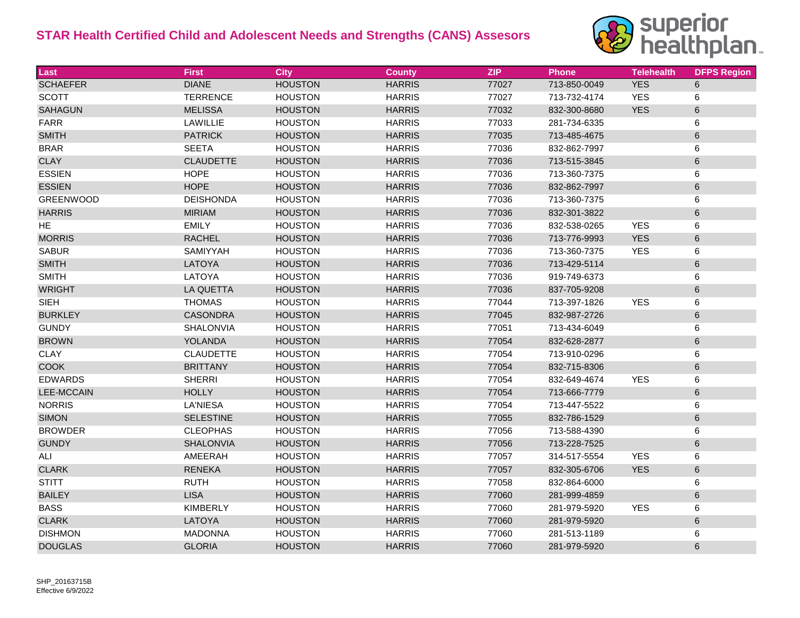

| Last              | <b>First</b>     | <b>City</b>    | <b>County</b> | <b>ZIP</b> | <b>Phone</b> | <b>Telehealth</b> | <b>DFPS Region</b> |
|-------------------|------------------|----------------|---------------|------------|--------------|-------------------|--------------------|
| <b>SCHAEFER</b>   | <b>DIANE</b>     | <b>HOUSTON</b> | <b>HARRIS</b> | 77027      | 713-850-0049 | <b>YES</b>        | 6                  |
| <b>SCOTT</b>      | <b>TERRENCE</b>  | <b>HOUSTON</b> | <b>HARRIS</b> | 77027      | 713-732-4174 | <b>YES</b>        | 6                  |
| <b>SAHAGUN</b>    | <b>MELISSA</b>   | <b>HOUSTON</b> | <b>HARRIS</b> | 77032      | 832-300-8680 | <b>YES</b>        | $\,6\,$            |
| <b>FARR</b>       | LAWILLIE         | <b>HOUSTON</b> | <b>HARRIS</b> | 77033      | 281-734-6335 |                   | 6                  |
| <b>SMITH</b>      | <b>PATRICK</b>   | <b>HOUSTON</b> | <b>HARRIS</b> | 77035      | 713-485-4675 |                   | $\,6\,$            |
| <b>BRAR</b>       | <b>SEETA</b>     | <b>HOUSTON</b> | <b>HARRIS</b> | 77036      | 832-862-7997 |                   | 6                  |
| <b>CLAY</b>       | <b>CLAUDETTE</b> | <b>HOUSTON</b> | <b>HARRIS</b> | 77036      | 713-515-3845 |                   | 6                  |
| <b>ESSIEN</b>     | <b>HOPE</b>      | <b>HOUSTON</b> | <b>HARRIS</b> | 77036      | 713-360-7375 |                   | 6                  |
| <b>ESSIEN</b>     | <b>HOPE</b>      | <b>HOUSTON</b> | <b>HARRIS</b> | 77036      | 832-862-7997 |                   | 6                  |
| <b>GREENWOOD</b>  | <b>DEISHONDA</b> | <b>HOUSTON</b> | <b>HARRIS</b> | 77036      | 713-360-7375 |                   | 6                  |
| <b>HARRIS</b>     | <b>MIRIAM</b>    | <b>HOUSTON</b> | <b>HARRIS</b> | 77036      | 832-301-3822 |                   | $\,6\,$            |
| <b>HE</b>         | <b>EMILY</b>     | <b>HOUSTON</b> | <b>HARRIS</b> | 77036      | 832-538-0265 | <b>YES</b>        | 6                  |
| <b>MORRIS</b>     | <b>RACHEL</b>    | <b>HOUSTON</b> | <b>HARRIS</b> | 77036      | 713-776-9993 | <b>YES</b>        | $\,6\,$            |
| <b>SABUR</b>      | SAMIYYAH         | <b>HOUSTON</b> | <b>HARRIS</b> | 77036      | 713-360-7375 | <b>YES</b>        | 6                  |
| <b>SMITH</b>      | LATOYA           | <b>HOUSTON</b> | <b>HARRIS</b> | 77036      | 713-429-5114 |                   | $\,6\,$            |
| <b>SMITH</b>      | LATOYA           | <b>HOUSTON</b> | <b>HARRIS</b> | 77036      | 919-749-6373 |                   | 6                  |
| <b>WRIGHT</b>     | <b>LA QUETTA</b> | <b>HOUSTON</b> | <b>HARRIS</b> | 77036      | 837-705-9208 |                   | $\,6\,$            |
| <b>SIEH</b>       | <b>THOMAS</b>    | <b>HOUSTON</b> | <b>HARRIS</b> | 77044      | 713-397-1826 | <b>YES</b>        | 6                  |
| <b>BURKLEY</b>    | <b>CASONDRA</b>  | <b>HOUSTON</b> | <b>HARRIS</b> | 77045      | 832-987-2726 |                   | $\,6\,$            |
| <b>GUNDY</b>      | <b>SHALONVIA</b> | <b>HOUSTON</b> | <b>HARRIS</b> | 77051      | 713-434-6049 |                   | 6                  |
| <b>BROWN</b>      | YOLANDA          | <b>HOUSTON</b> | <b>HARRIS</b> | 77054      | 832-628-2877 |                   | $\,6\,$            |
| <b>CLAY</b>       | <b>CLAUDETTE</b> | <b>HOUSTON</b> | <b>HARRIS</b> | 77054      | 713-910-0296 |                   | 6                  |
| <b>COOK</b>       | <b>BRITTANY</b>  | <b>HOUSTON</b> | <b>HARRIS</b> | 77054      | 832-715-8306 |                   | 6                  |
| <b>EDWARDS</b>    | <b>SHERRI</b>    | <b>HOUSTON</b> | <b>HARRIS</b> | 77054      | 832-649-4674 | <b>YES</b>        | 6                  |
| <b>LEE-MCCAIN</b> | <b>HOLLY</b>     | <b>HOUSTON</b> | <b>HARRIS</b> | 77054      | 713-666-7779 |                   | 6                  |
| <b>NORRIS</b>     | <b>LA'NIESA</b>  | <b>HOUSTON</b> | <b>HARRIS</b> | 77054      | 713-447-5522 |                   | 6                  |
| <b>SIMON</b>      | <b>SELESTINE</b> | <b>HOUSTON</b> | <b>HARRIS</b> | 77055      | 832-786-1529 |                   | 6                  |
| <b>BROWDER</b>    | <b>CLEOPHAS</b>  | <b>HOUSTON</b> | <b>HARRIS</b> | 77056      | 713-588-4390 |                   | 6                  |
| <b>GUNDY</b>      | SHALONVIA        | <b>HOUSTON</b> | <b>HARRIS</b> | 77056      | 713-228-7525 |                   | $\,6\,$            |
| ALI               | AMEERAH          | <b>HOUSTON</b> | <b>HARRIS</b> | 77057      | 314-517-5554 | <b>YES</b>        | 6                  |
| <b>CLARK</b>      | <b>RENEKA</b>    | <b>HOUSTON</b> | <b>HARRIS</b> | 77057      | 832-305-6706 | <b>YES</b>        | $\,6\,$            |
| <b>STITT</b>      | <b>RUTH</b>      | <b>HOUSTON</b> | <b>HARRIS</b> | 77058      | 832-864-6000 |                   | 6                  |
| <b>BAILEY</b>     | <b>LISA</b>      | <b>HOUSTON</b> | <b>HARRIS</b> | 77060      | 281-999-4859 |                   | $\,6\,$            |
| <b>BASS</b>       | <b>KIMBERLY</b>  | <b>HOUSTON</b> | <b>HARRIS</b> | 77060      | 281-979-5920 | <b>YES</b>        | 6                  |
| <b>CLARK</b>      | LATOYA           | <b>HOUSTON</b> | <b>HARRIS</b> | 77060      | 281-979-5920 |                   | $\,6\,$            |
| <b>DISHMON</b>    | <b>MADONNA</b>   | <b>HOUSTON</b> | <b>HARRIS</b> | 77060      | 281-513-1189 |                   | 6                  |
| <b>DOUGLAS</b>    | <b>GLORIA</b>    | <b>HOUSTON</b> | <b>HARRIS</b> | 77060      | 281-979-5920 |                   | 6                  |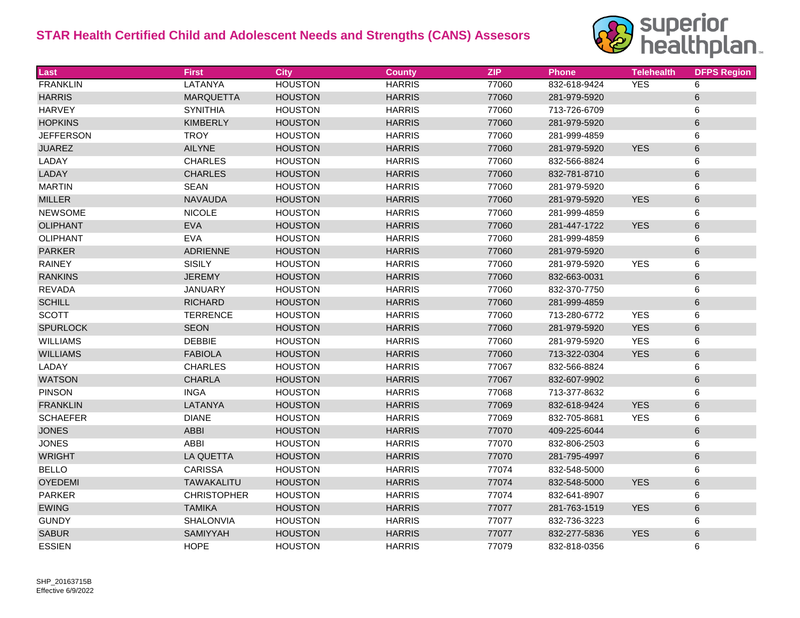

| Last             | <b>First</b>       | <b>City</b>    | <b>County</b> | <b>ZIP</b> | <b>Phone</b> | <b>Telehealth</b> | <b>DFPS Region</b> |
|------------------|--------------------|----------------|---------------|------------|--------------|-------------------|--------------------|
| <b>FRANKLIN</b>  | <b>LATANYA</b>     | <b>HOUSTON</b> | <b>HARRIS</b> | 77060      | 832-618-9424 | <b>YES</b>        | 6                  |
| <b>HARRIS</b>    | <b>MARQUETTA</b>   | <b>HOUSTON</b> | <b>HARRIS</b> | 77060      | 281-979-5920 |                   | 6                  |
| <b>HARVEY</b>    | <b>SYNITHIA</b>    | <b>HOUSTON</b> | <b>HARRIS</b> | 77060      | 713-726-6709 |                   | 6                  |
| <b>HOPKINS</b>   | <b>KIMBERLY</b>    | <b>HOUSTON</b> | <b>HARRIS</b> | 77060      | 281-979-5920 |                   | $\,6$              |
| <b>JEFFERSON</b> | <b>TROY</b>        | <b>HOUSTON</b> | <b>HARRIS</b> | 77060      | 281-999-4859 |                   | 6                  |
| <b>JUAREZ</b>    | <b>AILYNE</b>      | <b>HOUSTON</b> | <b>HARRIS</b> | 77060      | 281-979-5920 | <b>YES</b>        | 6                  |
| LADAY            | <b>CHARLES</b>     | <b>HOUSTON</b> | <b>HARRIS</b> | 77060      | 832-566-8824 |                   | 6                  |
| LADAY            | <b>CHARLES</b>     | <b>HOUSTON</b> | <b>HARRIS</b> | 77060      | 832-781-8710 |                   | $\,6$              |
| <b>MARTIN</b>    | <b>SEAN</b>        | <b>HOUSTON</b> | <b>HARRIS</b> | 77060      | 281-979-5920 |                   | 6                  |
| <b>MILLER</b>    | <b>NAVAUDA</b>     | <b>HOUSTON</b> | <b>HARRIS</b> | 77060      | 281-979-5920 | <b>YES</b>        | $\,6\,$            |
| <b>NEWSOME</b>   | <b>NICOLE</b>      | <b>HOUSTON</b> | <b>HARRIS</b> | 77060      | 281-999-4859 |                   | 6                  |
| <b>OLIPHANT</b>  | <b>EVA</b>         | <b>HOUSTON</b> | <b>HARRIS</b> | 77060      | 281-447-1722 | <b>YES</b>        | 6                  |
| <b>OLIPHANT</b>  | <b>EVA</b>         | <b>HOUSTON</b> | <b>HARRIS</b> | 77060      | 281-999-4859 |                   | 6                  |
| <b>PARKER</b>    | ADRIENNE           | <b>HOUSTON</b> | <b>HARRIS</b> | 77060      | 281-979-5920 |                   | $\,6$              |
| <b>RAINEY</b>    | <b>SISILY</b>      | <b>HOUSTON</b> | <b>HARRIS</b> | 77060      | 281-979-5920 | <b>YES</b>        | 6                  |
| <b>RANKINS</b>   | <b>JEREMY</b>      | <b>HOUSTON</b> | <b>HARRIS</b> | 77060      | 832-663-0031 |                   | $\,6$              |
| <b>REVADA</b>    | <b>JANUARY</b>     | <b>HOUSTON</b> | <b>HARRIS</b> | 77060      | 832-370-7750 |                   | 6                  |
| <b>SCHILL</b>    | <b>RICHARD</b>     | <b>HOUSTON</b> | <b>HARRIS</b> | 77060      | 281-999-4859 |                   | $\,6\,$            |
| <b>SCOTT</b>     | <b>TERRENCE</b>    | <b>HOUSTON</b> | <b>HARRIS</b> | 77060      | 713-280-6772 | <b>YES</b>        | 6                  |
| <b>SPURLOCK</b>  | <b>SEON</b>        | <b>HOUSTON</b> | <b>HARRIS</b> | 77060      | 281-979-5920 | <b>YES</b>        | $\,6\,$            |
| <b>WILLIAMS</b>  | <b>DEBBIE</b>      | <b>HOUSTON</b> | <b>HARRIS</b> | 77060      | 281-979-5920 | <b>YES</b>        | 6                  |
| <b>WILLIAMS</b>  | <b>FABIOLA</b>     | <b>HOUSTON</b> | <b>HARRIS</b> | 77060      | 713-322-0304 | <b>YES</b>        | $\,6\,$            |
| LADAY            | <b>CHARLES</b>     | <b>HOUSTON</b> | <b>HARRIS</b> | 77067      | 832-566-8824 |                   | 6                  |
| <b>WATSON</b>    | <b>CHARLA</b>      | <b>HOUSTON</b> | <b>HARRIS</b> | 77067      | 832-607-9902 |                   | $\,6\,$            |
| <b>PINSON</b>    | <b>INGA</b>        | <b>HOUSTON</b> | <b>HARRIS</b> | 77068      | 713-377-8632 |                   | 6                  |
| <b>FRANKLIN</b>  | LATANYA            | <b>HOUSTON</b> | <b>HARRIS</b> | 77069      | 832-618-9424 | <b>YES</b>        | 6                  |
| <b>SCHAEFER</b>  | <b>DIANE</b>       | <b>HOUSTON</b> | <b>HARRIS</b> | 77069      | 832-705-8681 | <b>YES</b>        | 6                  |
| <b>JONES</b>     | <b>ABBI</b>        | <b>HOUSTON</b> | <b>HARRIS</b> | 77070      | 409-225-6044 |                   | 6                  |
| <b>JONES</b>     | <b>ABBI</b>        | <b>HOUSTON</b> | <b>HARRIS</b> | 77070      | 832-806-2503 |                   | 6                  |
| <b>WRIGHT</b>    | <b>LA QUETTA</b>   | <b>HOUSTON</b> | <b>HARRIS</b> | 77070      | 281-795-4997 |                   | 6                  |
| <b>BELLO</b>     | <b>CARISSA</b>     | <b>HOUSTON</b> | <b>HARRIS</b> | 77074      | 832-548-5000 |                   | 6                  |
| <b>OYEDEMI</b>   | <b>TAWAKALITU</b>  | <b>HOUSTON</b> | <b>HARRIS</b> | 77074      | 832-548-5000 | <b>YES</b>        | $\,6\,$            |
| <b>PARKER</b>    | <b>CHRISTOPHER</b> | <b>HOUSTON</b> | <b>HARRIS</b> | 77074      | 832-641-8907 |                   | 6                  |
| <b>EWING</b>     | <b>TAMIKA</b>      | <b>HOUSTON</b> | <b>HARRIS</b> | 77077      | 281-763-1519 | <b>YES</b>        | $\,6$              |
| <b>GUNDY</b>     | SHALONVIA          | <b>HOUSTON</b> | <b>HARRIS</b> | 77077      | 832-736-3223 |                   | 6                  |
| <b>SABUR</b>     | SAMIYYAH           | <b>HOUSTON</b> | <b>HARRIS</b> | 77077      | 832-277-5836 | <b>YES</b>        | $\,6$              |
| <b>ESSIEN</b>    | <b>HOPE</b>        | <b>HOUSTON</b> | <b>HARRIS</b> | 77079      | 832-818-0356 |                   | 6                  |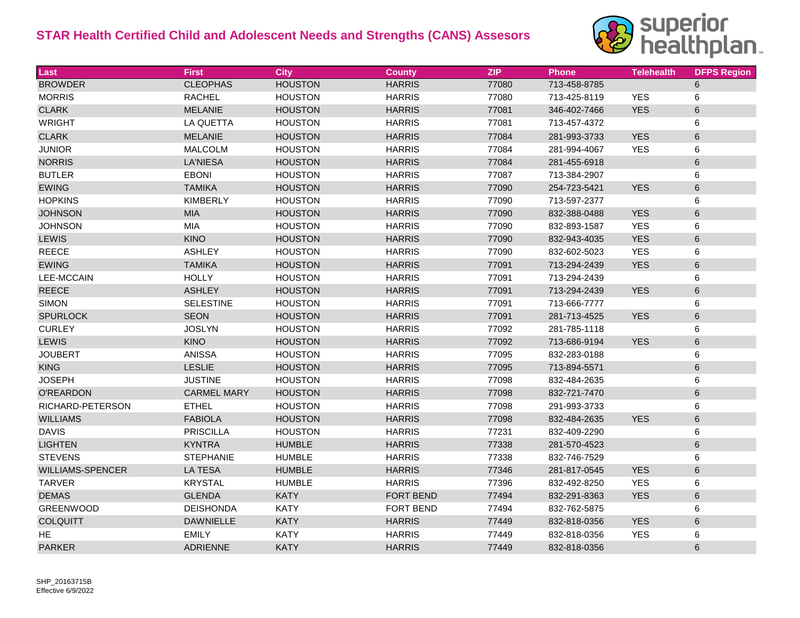

| Last                    | <b>First</b>       | City           | <b>County</b>    | <b>ZIP</b> | <b>Phone</b> | <b>Telehealth</b> | <b>DFPS Region</b> |
|-------------------------|--------------------|----------------|------------------|------------|--------------|-------------------|--------------------|
| <b>BROWDER</b>          | <b>CLEOPHAS</b>    | <b>HOUSTON</b> | <b>HARRIS</b>    | 77080      | 713-458-8785 |                   | 6                  |
| <b>MORRIS</b>           | <b>RACHEL</b>      | <b>HOUSTON</b> | <b>HARRIS</b>    | 77080      | 713-425-8119 | <b>YES</b>        | 6                  |
| <b>CLARK</b>            | <b>MELANIE</b>     | <b>HOUSTON</b> | <b>HARRIS</b>    | 77081      | 346-402-7466 | <b>YES</b>        | 6                  |
| <b>WRIGHT</b>           | LA QUETTA          | <b>HOUSTON</b> | <b>HARRIS</b>    | 77081      | 713-457-4372 |                   | 6                  |
| <b>CLARK</b>            | <b>MELANIE</b>     | <b>HOUSTON</b> | <b>HARRIS</b>    | 77084      | 281-993-3733 | <b>YES</b>        | 6                  |
| <b>JUNIOR</b>           | <b>MALCOLM</b>     | <b>HOUSTON</b> | <b>HARRIS</b>    | 77084      | 281-994-4067 | <b>YES</b>        | 6                  |
| <b>NORRIS</b>           | <b>LA'NIESA</b>    | <b>HOUSTON</b> | <b>HARRIS</b>    | 77084      | 281-455-6918 |                   | 6                  |
| <b>BUTLER</b>           | <b>EBONI</b>       | <b>HOUSTON</b> | <b>HARRIS</b>    | 77087      | 713-384-2907 |                   | 6                  |
| <b>EWING</b>            | <b>TAMIKA</b>      | <b>HOUSTON</b> | <b>HARRIS</b>    | 77090      | 254-723-5421 | <b>YES</b>        | 6                  |
| <b>HOPKINS</b>          | <b>KIMBERLY</b>    | <b>HOUSTON</b> | <b>HARRIS</b>    | 77090      | 713-597-2377 |                   | 6                  |
| <b>JOHNSON</b>          | <b>MIA</b>         | <b>HOUSTON</b> | <b>HARRIS</b>    | 77090      | 832-388-0488 | <b>YES</b>        | 6                  |
| <b>JOHNSON</b>          | <b>MIA</b>         | <b>HOUSTON</b> | <b>HARRIS</b>    | 77090      | 832-893-1587 | <b>YES</b>        | 6                  |
| <b>LEWIS</b>            | <b>KINO</b>        | <b>HOUSTON</b> | <b>HARRIS</b>    | 77090      | 832-943-4035 | <b>YES</b>        | 6                  |
| <b>REECE</b>            | <b>ASHLEY</b>      | <b>HOUSTON</b> | <b>HARRIS</b>    | 77090      | 832-602-5023 | <b>YES</b>        | 6                  |
| <b>EWING</b>            | <b>TAMIKA</b>      | <b>HOUSTON</b> | <b>HARRIS</b>    | 77091      | 713-294-2439 | <b>YES</b>        | 6                  |
| <b>LEE-MCCAIN</b>       | <b>HOLLY</b>       | <b>HOUSTON</b> | <b>HARRIS</b>    | 77091      | 713-294-2439 |                   | 6                  |
| <b>REECE</b>            | <b>ASHLEY</b>      | <b>HOUSTON</b> | <b>HARRIS</b>    | 77091      | 713-294-2439 | <b>YES</b>        | 6                  |
| <b>SIMON</b>            | <b>SELESTINE</b>   | <b>HOUSTON</b> | <b>HARRIS</b>    | 77091      | 713-666-7777 |                   | 6                  |
| <b>SPURLOCK</b>         | <b>SEON</b>        | <b>HOUSTON</b> | <b>HARRIS</b>    | 77091      | 281-713-4525 | <b>YES</b>        | 6                  |
| <b>CURLEY</b>           | <b>JOSLYN</b>      | <b>HOUSTON</b> | <b>HARRIS</b>    | 77092      | 281-785-1118 |                   | 6                  |
| <b>LEWIS</b>            | <b>KINO</b>        | <b>HOUSTON</b> | <b>HARRIS</b>    | 77092      | 713-686-9194 | <b>YES</b>        | 6                  |
| <b>JOUBERT</b>          | <b>ANISSA</b>      | <b>HOUSTON</b> | <b>HARRIS</b>    | 77095      | 832-283-0188 |                   | 6                  |
| <b>KING</b>             | <b>LESLIE</b>      | <b>HOUSTON</b> | <b>HARRIS</b>    | 77095      | 713-894-5571 |                   | 6                  |
| <b>JOSEPH</b>           | <b>JUSTINE</b>     | <b>HOUSTON</b> | <b>HARRIS</b>    | 77098      | 832-484-2635 |                   | 6                  |
| O'REARDON               | <b>CARMEL MARY</b> | <b>HOUSTON</b> | <b>HARRIS</b>    | 77098      | 832-721-7470 |                   | 6                  |
| RICHARD-PETERSON        | <b>ETHEL</b>       | <b>HOUSTON</b> | <b>HARRIS</b>    | 77098      | 291-993-3733 |                   | 6                  |
| <b>WILLIAMS</b>         | <b>FABIOLA</b>     | <b>HOUSTON</b> | <b>HARRIS</b>    | 77098      | 832-484-2635 | <b>YES</b>        | 6                  |
| <b>DAVIS</b>            | <b>PRISCILLA</b>   | <b>HOUSTON</b> | <b>HARRIS</b>    | 77231      | 832-409-2290 |                   | 6                  |
| <b>LIGHTEN</b>          | <b>KYNTRA</b>      | <b>HUMBLE</b>  | <b>HARRIS</b>    | 77338      | 281-570-4523 |                   | 6                  |
| <b>STEVENS</b>          | <b>STEPHANIE</b>   | <b>HUMBLE</b>  | <b>HARRIS</b>    | 77338      | 832-746-7529 |                   | 6                  |
| <b>WILLIAMS-SPENCER</b> | <b>LA TESA</b>     | <b>HUMBLE</b>  | <b>HARRIS</b>    | 77346      | 281-817-0545 | <b>YES</b>        | 6                  |
| <b>TARVER</b>           | <b>KRYSTAL</b>     | <b>HUMBLE</b>  | <b>HARRIS</b>    | 77396      | 832-492-8250 | <b>YES</b>        | 6                  |
| <b>DEMAS</b>            | <b>GLENDA</b>      | <b>KATY</b>    | <b>FORT BEND</b> | 77494      | 832-291-8363 | <b>YES</b>        | 6                  |
| <b>GREENWOOD</b>        | <b>DEISHONDA</b>   | <b>KATY</b>    | FORT BEND        | 77494      | 832-762-5875 |                   | 6                  |
| <b>COLQUITT</b>         | <b>DAWNIELLE</b>   | <b>KATY</b>    | <b>HARRIS</b>    | 77449      | 832-818-0356 | <b>YES</b>        | 6                  |
| HE                      | <b>EMILY</b>       | <b>KATY</b>    | <b>HARRIS</b>    | 77449      | 832-818-0356 | <b>YES</b>        | 6                  |
| <b>PARKER</b>           | <b>ADRIENNE</b>    | <b>KATY</b>    | <b>HARRIS</b>    | 77449      | 832-818-0356 |                   | 6                  |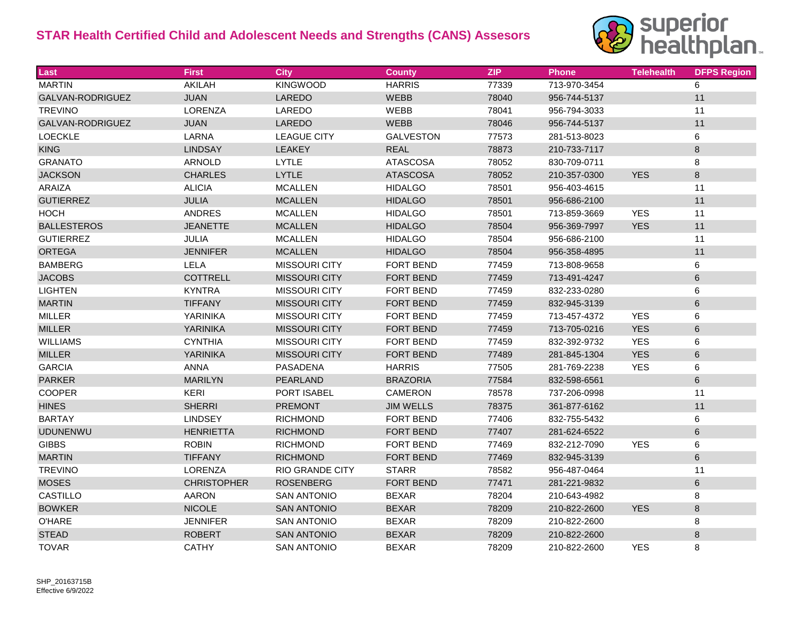

| Last               | <b>First</b>       | <b>City</b>            | <b>County</b>    | <b>ZIP</b> | <b>Phone</b> | <b>Telehealth</b> | <b>DFPS Region</b> |
|--------------------|--------------------|------------------------|------------------|------------|--------------|-------------------|--------------------|
| <b>MARTIN</b>      | AKILAH             | <b>KINGWOOD</b>        | <b>HARRIS</b>    | 77339      | 713-970-3454 |                   | 6                  |
| GALVAN-RODRIGUEZ   | <b>JUAN</b>        | LAREDO                 | WEBB             | 78040      | 956-744-5137 |                   | 11                 |
| <b>TREVINO</b>     | LORENZA            | LAREDO                 | WEBB             | 78041      | 956-794-3033 |                   | 11                 |
| GALVAN-RODRIGUEZ   | <b>JUAN</b>        | LAREDO                 | <b>WEBB</b>      | 78046      | 956-744-5137 |                   | 11                 |
| <b>LOECKLE</b>     | LARNA              | <b>LEAGUE CITY</b>     | <b>GALVESTON</b> | 77573      | 281-513-8023 |                   | 6                  |
| <b>KING</b>        | <b>LINDSAY</b>     | <b>LEAKEY</b>          | <b>REAL</b>      | 78873      | 210-733-7117 |                   | 8                  |
| <b>GRANATO</b>     | ARNOLD             | <b>LYTLE</b>           | <b>ATASCOSA</b>  | 78052      | 830-709-0711 |                   | 8                  |
| <b>JACKSON</b>     | <b>CHARLES</b>     | <b>LYTLE</b>           | <b>ATASCOSA</b>  | 78052      | 210-357-0300 | <b>YES</b>        | 8                  |
| <b>ARAIZA</b>      | <b>ALICIA</b>      | <b>MCALLEN</b>         | <b>HIDALGO</b>   | 78501      | 956-403-4615 |                   | 11                 |
| <b>GUTIERREZ</b>   | <b>JULIA</b>       | <b>MCALLEN</b>         | <b>HIDALGO</b>   | 78501      | 956-686-2100 |                   | 11                 |
| <b>HOCH</b>        | <b>ANDRES</b>      | <b>MCALLEN</b>         | <b>HIDALGO</b>   | 78501      | 713-859-3669 | <b>YES</b>        | 11                 |
| <b>BALLESTEROS</b> | <b>JEANETTE</b>    | <b>MCALLEN</b>         | <b>HIDALGO</b>   | 78504      | 956-369-7997 | <b>YES</b>        | 11                 |
| <b>GUTIERREZ</b>   | JULIA              | <b>MCALLEN</b>         | <b>HIDALGO</b>   | 78504      | 956-686-2100 |                   | 11                 |
| <b>ORTEGA</b>      | <b>JENNIFER</b>    | <b>MCALLEN</b>         | <b>HIDALGO</b>   | 78504      | 956-358-4895 |                   | 11                 |
| <b>BAMBERG</b>     | LELA               | <b>MISSOURI CITY</b>   | <b>FORT BEND</b> | 77459      | 713-808-9658 |                   | 6                  |
| <b>JACOBS</b>      | <b>COTTRELL</b>    | <b>MISSOURI CITY</b>   | <b>FORT BEND</b> | 77459      | 713-491-4247 |                   | 6                  |
| <b>LIGHTEN</b>     | <b>KYNTRA</b>      | <b>MISSOURI CITY</b>   | <b>FORT BEND</b> | 77459      | 832-233-0280 |                   | 6                  |
| <b>MARTIN</b>      | <b>TIFFANY</b>     | <b>MISSOURI CITY</b>   | <b>FORT BEND</b> | 77459      | 832-945-3139 |                   | 6                  |
| <b>MILLER</b>      | YARINIKA           | <b>MISSOURI CITY</b>   | <b>FORT BEND</b> | 77459      | 713-457-4372 | <b>YES</b>        | 6                  |
| <b>MILLER</b>      | <b>YARINIKA</b>    | <b>MISSOURI CITY</b>   | <b>FORT BEND</b> | 77459      | 713-705-0216 | <b>YES</b>        | 6                  |
| <b>WILLIAMS</b>    | <b>CYNTHIA</b>     | <b>MISSOURI CITY</b>   | FORT BEND        | 77459      | 832-392-9732 | <b>YES</b>        | 6                  |
| <b>MILLER</b>      | <b>YARINIKA</b>    | <b>MISSOURI CITY</b>   | <b>FORT BEND</b> | 77489      | 281-845-1304 | <b>YES</b>        | 6                  |
| <b>GARCIA</b>      | <b>ANNA</b>        | <b>PASADENA</b>        | <b>HARRIS</b>    | 77505      | 281-769-2238 | <b>YES</b>        | 6                  |
| <b>PARKER</b>      | <b>MARILYN</b>     | PEARLAND               | <b>BRAZORIA</b>  | 77584      | 832-598-6561 |                   | 6                  |
| COOPER             | <b>KERI</b>        | <b>PORT ISABEL</b>     | CAMERON          | 78578      | 737-206-0998 |                   | 11                 |
| <b>HINES</b>       | <b>SHERRI</b>      | <b>PREMONT</b>         | <b>JIM WELLS</b> | 78375      | 361-877-6162 |                   | 11                 |
| <b>BARTAY</b>      | <b>LINDSEY</b>     | <b>RICHMOND</b>        | <b>FORT BEND</b> | 77406      | 832-755-5432 |                   | 6                  |
| <b>UDUNENWU</b>    | <b>HENRIETTA</b>   | <b>RICHMOND</b>        | <b>FORT BEND</b> | 77407      | 281-624-6522 |                   | 6                  |
| <b>GIBBS</b>       | <b>ROBIN</b>       | <b>RICHMOND</b>        | <b>FORT BEND</b> | 77469      | 832-212-7090 | <b>YES</b>        | 6                  |
| <b>MARTIN</b>      | <b>TIFFANY</b>     | <b>RICHMOND</b>        | <b>FORT BEND</b> | 77469      | 832-945-3139 |                   | 6                  |
| <b>TREVINO</b>     | <b>LORENZA</b>     | <b>RIO GRANDE CITY</b> | <b>STARR</b>     | 78582      | 956-487-0464 |                   | 11                 |
| <b>MOSES</b>       | <b>CHRISTOPHER</b> | <b>ROSENBERG</b>       | <b>FORT BEND</b> | 77471      | 281-221-9832 |                   | 6                  |
| CASTILLO           | AARON              | <b>SAN ANTONIO</b>     | <b>BEXAR</b>     | 78204      | 210-643-4982 |                   | 8                  |
| <b>BOWKER</b>      | <b>NICOLE</b>      | <b>SAN ANTONIO</b>     | <b>BEXAR</b>     | 78209      | 210-822-2600 | <b>YES</b>        | 8                  |
| <b>O'HARE</b>      | <b>JENNIFER</b>    | <b>SAN ANTONIO</b>     | <b>BEXAR</b>     | 78209      | 210-822-2600 |                   | 8                  |
| <b>STEAD</b>       | <b>ROBERT</b>      | <b>SAN ANTONIO</b>     | <b>BEXAR</b>     | 78209      | 210-822-2600 |                   | 8                  |
| <b>TOVAR</b>       | <b>CATHY</b>       | <b>SAN ANTONIO</b>     | <b>BEXAR</b>     | 78209      | 210-822-2600 | <b>YES</b>        | 8                  |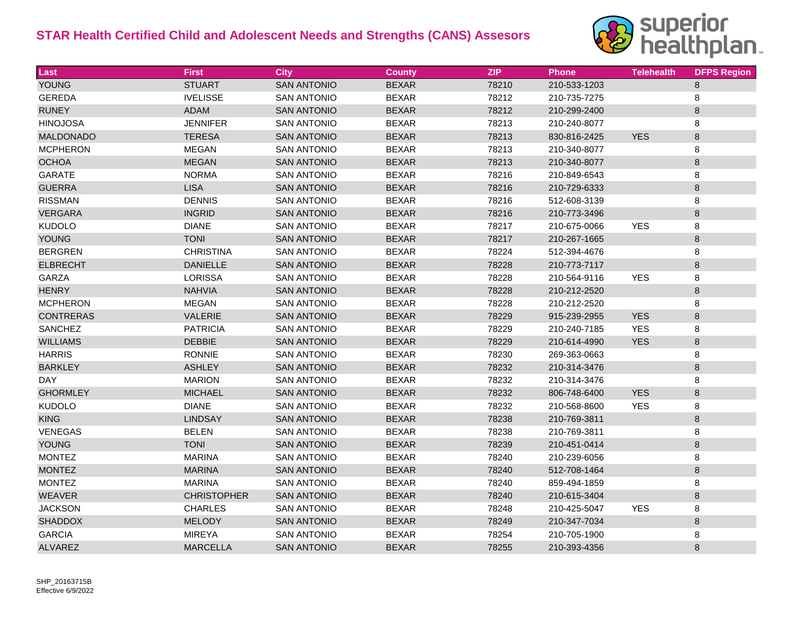

| Last             | <b>First</b>       | <b>City</b>        | <b>County</b> | <b>ZIP</b> | Phone        | <b>Telehealth</b> | <b>DFPS Region</b> |
|------------------|--------------------|--------------------|---------------|------------|--------------|-------------------|--------------------|
| <b>YOUNG</b>     | <b>STUART</b>      | <b>SAN ANTONIO</b> | <b>BEXAR</b>  | 78210      | 210-533-1203 |                   | 8                  |
| <b>GEREDA</b>    | <b>IVELISSE</b>    | <b>SAN ANTONIO</b> | <b>BEXAR</b>  | 78212      | 210-735-7275 |                   | 8                  |
| <b>RUNEY</b>     | <b>ADAM</b>        | <b>SAN ANTONIO</b> | <b>BEXAR</b>  | 78212      | 210-299-2400 |                   | $\,8\,$            |
| <b>HINOJOSA</b>  | <b>JENNIFER</b>    | <b>SAN ANTONIO</b> | <b>BEXAR</b>  | 78213      | 210-240-8077 |                   | 8                  |
| <b>MALDONADO</b> | <b>TERESA</b>      | <b>SAN ANTONIO</b> | <b>BEXAR</b>  | 78213      | 830-816-2425 | <b>YES</b>        | 8                  |
| <b>MCPHERON</b>  | MEGAN              | <b>SAN ANTONIO</b> | <b>BEXAR</b>  | 78213      | 210-340-8077 |                   | 8                  |
| <b>OCHOA</b>     | <b>MEGAN</b>       | <b>SAN ANTONIO</b> | <b>BEXAR</b>  | 78213      | 210-340-8077 |                   | 8                  |
| <b>GARATE</b>    | <b>NORMA</b>       | <b>SAN ANTONIO</b> | <b>BEXAR</b>  | 78216      | 210-849-6543 |                   | 8                  |
| <b>GUERRA</b>    | <b>LISA</b>        | <b>SAN ANTONIO</b> | <b>BEXAR</b>  | 78216      | 210-729-6333 |                   | $8\phantom{1}$     |
| <b>RISSMAN</b>   | <b>DENNIS</b>      | <b>SAN ANTONIO</b> | <b>BEXAR</b>  | 78216      | 512-608-3139 |                   | 8                  |
| <b>VERGARA</b>   | <b>INGRID</b>      | <b>SAN ANTONIO</b> | <b>BEXAR</b>  | 78216      | 210-773-3496 |                   | $\,8\,$            |
| <b>KUDOLO</b>    | <b>DIANE</b>       | <b>SAN ANTONIO</b> | <b>BEXAR</b>  | 78217      | 210-675-0066 | <b>YES</b>        | 8                  |
| <b>YOUNG</b>     | <b>TONI</b>        | <b>SAN ANTONIO</b> | <b>BEXAR</b>  | 78217      | 210-267-1665 |                   | $\,8\,$            |
| <b>BERGREN</b>   | <b>CHRISTINA</b>   | <b>SAN ANTONIO</b> | <b>BEXAR</b>  | 78224      | 512-394-4676 |                   | 8                  |
| <b>ELBRECHT</b>  | <b>DANIELLE</b>    | <b>SAN ANTONIO</b> | <b>BEXAR</b>  | 78228      | 210-773-7117 |                   | $\,8\,$            |
| <b>GARZA</b>     | <b>LORISSA</b>     | <b>SAN ANTONIO</b> | <b>BEXAR</b>  | 78228      | 210-564-9116 | <b>YES</b>        | 8                  |
| <b>HENRY</b>     | <b>NAHVIA</b>      | <b>SAN ANTONIO</b> | <b>BEXAR</b>  | 78228      | 210-212-2520 |                   | $8\phantom{1}$     |
| <b>MCPHERON</b>  | <b>MEGAN</b>       | <b>SAN ANTONIO</b> | <b>BEXAR</b>  | 78228      | 210-212-2520 |                   | 8                  |
| <b>CONTRERAS</b> | <b>VALERIE</b>     | <b>SAN ANTONIO</b> | <b>BEXAR</b>  | 78229      | 915-239-2955 | <b>YES</b>        | $\,8\,$            |
| <b>SANCHEZ</b>   | <b>PATRICIA</b>    | <b>SAN ANTONIO</b> | <b>BEXAR</b>  | 78229      | 210-240-7185 | <b>YES</b>        | 8                  |
| <b>WILLIAMS</b>  | DEBBIE             | <b>SAN ANTONIO</b> | <b>BEXAR</b>  | 78229      | 210-614-4990 | <b>YES</b>        | $\,8\,$            |
| <b>HARRIS</b>    | <b>RONNIE</b>      | <b>SAN ANTONIO</b> | <b>BEXAR</b>  | 78230      | 269-363-0663 |                   | 8                  |
| <b>BARKLEY</b>   | <b>ASHLEY</b>      | <b>SAN ANTONIO</b> | <b>BEXAR</b>  | 78232      | 210-314-3476 |                   | $\,8\,$            |
| <b>DAY</b>       | <b>MARION</b>      | <b>SAN ANTONIO</b> | <b>BEXAR</b>  | 78232      | 210-314-3476 |                   | 8                  |
| <b>GHORMLEY</b>  | <b>MICHAEL</b>     | <b>SAN ANTONIO</b> | <b>BEXAR</b>  | 78232      | 806-748-6400 | <b>YES</b>        | 8                  |
| <b>KUDOLO</b>    | <b>DIANE</b>       | <b>SAN ANTONIO</b> | <b>BEXAR</b>  | 78232      | 210-568-8600 | <b>YES</b>        | 8                  |
| <b>KING</b>      | <b>LINDSAY</b>     | <b>SAN ANTONIO</b> | <b>BEXAR</b>  | 78238      | 210-769-3811 |                   | $\,8\,$            |
| VENEGAS          | <b>BELEN</b>       | <b>SAN ANTONIO</b> | <b>BEXAR</b>  | 78238      | 210-769-3811 |                   | 8                  |
| <b>YOUNG</b>     | <b>TONI</b>        | <b>SAN ANTONIO</b> | <b>BEXAR</b>  | 78239      | 210-451-0414 |                   | $\,8\,$            |
| <b>MONTEZ</b>    | <b>MARINA</b>      | <b>SAN ANTONIO</b> | <b>BEXAR</b>  | 78240      | 210-239-6056 |                   | 8                  |
| <b>MONTEZ</b>    | <b>MARINA</b>      | <b>SAN ANTONIO</b> | <b>BEXAR</b>  | 78240      | 512-708-1464 |                   | $\,8\,$            |
| <b>MONTEZ</b>    | <b>MARINA</b>      | <b>SAN ANTONIO</b> | <b>BEXAR</b>  | 78240      | 859-494-1859 |                   | 8                  |
| <b>WEAVER</b>    | <b>CHRISTOPHER</b> | <b>SAN ANTONIO</b> | <b>BEXAR</b>  | 78240      | 210-615-3404 |                   | $\,8\,$            |
| <b>JACKSON</b>   | <b>CHARLES</b>     | <b>SAN ANTONIO</b> | <b>BEXAR</b>  | 78248      | 210-425-5047 | <b>YES</b>        | 8                  |
| <b>SHADDOX</b>   | <b>MELODY</b>      | <b>SAN ANTONIO</b> | <b>BEXAR</b>  | 78249      | 210-347-7034 |                   | $\,8\,$            |
| <b>GARCIA</b>    | <b>MIREYA</b>      | <b>SAN ANTONIO</b> | <b>BEXAR</b>  | 78254      | 210-705-1900 |                   | 8                  |
| <b>ALVAREZ</b>   | <b>MARCELLA</b>    | <b>SAN ANTONIO</b> | <b>BEXAR</b>  | 78255      | 210-393-4356 |                   | $\,8\,$            |